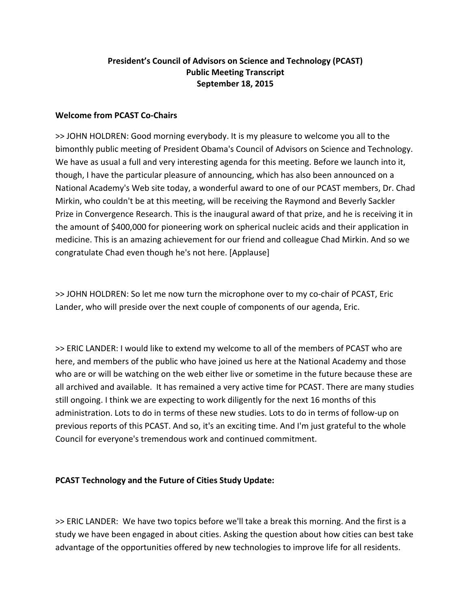# **President's Council of Advisors on Science and Technology (PCAST) Public Meeting Transcript September 18, 2015**

## **Welcome from PCAST Co‐Chairs**

>> JOHN HOLDREN: Good morning everybody. It is my pleasure to welcome you all to the bimonthly public meeting of President Obama's Council of Advisors on Science and Technology. We have as usual a full and very interesting agenda for this meeting. Before we launch into it, though, I have the particular pleasure of announcing, which has also been announced on a National Academy's Web site today, a wonderful award to one of our PCAST members, Dr. Chad Mirkin, who couldn't be at this meeting, will be receiving the Raymond and Beverly Sackler Prize in Convergence Research. This is the inaugural award of that prize, and he is receiving it in the amount of \$400,000 for pioneering work on spherical nucleic acids and their application in medicine. This is an amazing achievement for our friend and colleague Chad Mirkin. And so we congratulate Chad even though he's not here. [Applause]

>> JOHN HOLDREN: So let me now turn the microphone over to my co-chair of PCAST, Eric Lander, who will preside over the next couple of components of our agenda, Eric.

>> ERIC LANDER: I would like to extend my welcome to all of the members of PCAST who are here, and members of the public who have joined us here at the National Academy and those who are or will be watching on the web either live or sometime in the future because these are all archived and available. It has remained a very active time for PCAST. There are many studies still ongoing. I think we are expecting to work diligently for the next 16 months of this administration. Lots to do in terms of these new studies. Lots to do in terms of follow‐up on previous reports of this PCAST. And so, it's an exciting time. And I'm just grateful to the whole Council for everyone's tremendous work and continued commitment.

## **PCAST Technology and the Future of Cities Study Update:**

>> ERIC LANDER: We have two topics before we'll take a break this morning. And the first is a study we have been engaged in about cities. Asking the question about how cities can best take advantage of the opportunities offered by new technologies to improve life for all residents.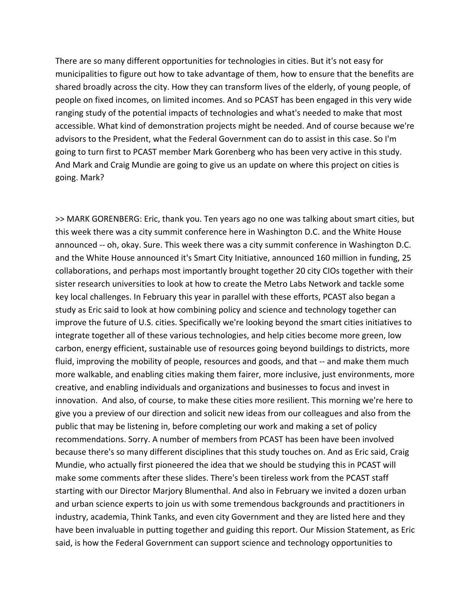There are so many different opportunities for technologies in cities. But it's not easy for municipalities to figure out how to take advantage of them, how to ensure that the benefits are shared broadly across the city. How they can transform lives of the elderly, of young people, of people on fixed incomes, on limited incomes. And so PCAST has been engaged in this very wide ranging study of the potential impacts of technologies and what's needed to make that most accessible. What kind of demonstration projects might be needed. And of course because we're advisors to the President, what the Federal Government can do to assist in this case. So I'm going to turn first to PCAST member Mark Gorenberg who has been very active in this study. And Mark and Craig Mundie are going to give us an update on where this project on cities is going. Mark?

>> MARK GORENBERG: Eric, thank you. Ten years ago no one was talking about smart cities, but this week there was a city summit conference here in Washington D.C. and the White House announced ‐‐ oh, okay. Sure. This week there was a city summit conference in Washington D.C. and the White House announced it's Smart City Initiative, announced 160 million in funding, 25 collaborations, and perhaps most importantly brought together 20 city CIOs together with their sister research universities to look at how to create the Metro Labs Network and tackle some key local challenges. In February this year in parallel with these efforts, PCAST also began a study as Eric said to look at how combining policy and science and technology together can improve the future of U.S. cities. Specifically we're looking beyond the smart cities initiatives to integrate together all of these various technologies, and help cities become more green, low carbon, energy efficient, sustainable use of resources going beyond buildings to districts, more fluid, improving the mobility of people, resources and goods, and that -- and make them much more walkable, and enabling cities making them fairer, more inclusive, just environments, more creative, and enabling individuals and organizations and businesses to focus and invest in innovation. And also, of course, to make these cities more resilient. This morning we're here to give you a preview of our direction and solicit new ideas from our colleagues and also from the public that may be listening in, before completing our work and making a set of policy recommendations. Sorry. A number of members from PCAST has been have been involved because there's so many different disciplines that this study touches on. And as Eric said, Craig Mundie, who actually first pioneered the idea that we should be studying this in PCAST will make some comments after these slides. There's been tireless work from the PCAST staff starting with our Director Marjory Blumenthal. And also in February we invited a dozen urban and urban science experts to join us with some tremendous backgrounds and practitioners in industry, academia, Think Tanks, and even city Government and they are listed here and they have been invaluable in putting together and guiding this report. Our Mission Statement, as Eric said, is how the Federal Government can support science and technology opportunities to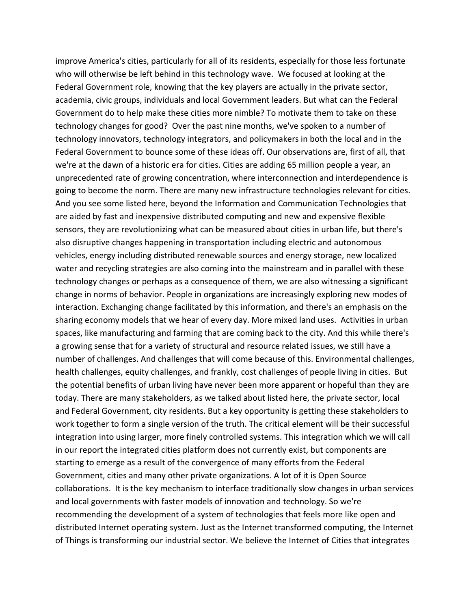improve America's cities, particularly for all of its residents, especially for those less fortunate who will otherwise be left behind in this technology wave. We focused at looking at the Federal Government role, knowing that the key players are actually in the private sector, academia, civic groups, individuals and local Government leaders. But what can the Federal Government do to help make these cities more nimble? To motivate them to take on these technology changes for good? Over the past nine months, we've spoken to a number of technology innovators, technology integrators, and policymakers in both the local and in the Federal Government to bounce some of these ideas off. Our observations are, first of all, that we're at the dawn of a historic era for cities. Cities are adding 65 million people a year, an unprecedented rate of growing concentration, where interconnection and interdependence is going to become the norm. There are many new infrastructure technologies relevant for cities. And you see some listed here, beyond the Information and Communication Technologies that are aided by fast and inexpensive distributed computing and new and expensive flexible sensors, they are revolutionizing what can be measured about cities in urban life, but there's also disruptive changes happening in transportation including electric and autonomous vehicles, energy including distributed renewable sources and energy storage, new localized water and recycling strategies are also coming into the mainstream and in parallel with these technology changes or perhaps as a consequence of them, we are also witnessing a significant change in norms of behavior. People in organizations are increasingly exploring new modes of interaction. Exchanging change facilitated by this information, and there's an emphasis on the sharing economy models that we hear of every day. More mixed land uses. Activities in urban spaces, like manufacturing and farming that are coming back to the city. And this while there's a growing sense that for a variety of structural and resource related issues, we still have a number of challenges. And challenges that will come because of this. Environmental challenges, health challenges, equity challenges, and frankly, cost challenges of people living in cities. But the potential benefits of urban living have never been more apparent or hopeful than they are today. There are many stakeholders, as we talked about listed here, the private sector, local and Federal Government, city residents. But a key opportunity is getting these stakeholders to work together to form a single version of the truth. The critical element will be their successful integration into using larger, more finely controlled systems. This integration which we will call in our report the integrated cities platform does not currently exist, but components are starting to emerge as a result of the convergence of many efforts from the Federal Government, cities and many other private organizations. A lot of it is Open Source collaborations. It is the key mechanism to interface traditionally slow changes in urban services and local governments with faster models of innovation and technology. So we're recommending the development of a system of technologies that feels more like open and distributed Internet operating system. Just as the Internet transformed computing, the Internet of Things is transforming our industrial sector. We believe the Internet of Cities that integrates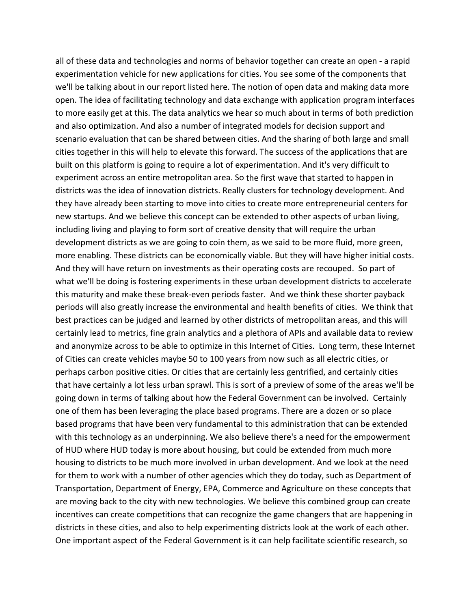all of these data and technologies and norms of behavior together can create an open ‐ a rapid experimentation vehicle for new applications for cities. You see some of the components that we'll be talking about in our report listed here. The notion of open data and making data more open. The idea of facilitating technology and data exchange with application program interfaces to more easily get at this. The data analytics we hear so much about in terms of both prediction and also optimization. And also a number of integrated models for decision support and scenario evaluation that can be shared between cities. And the sharing of both large and small cities together in this will help to elevate this forward. The success of the applications that are built on this platform is going to require a lot of experimentation. And it's very difficult to experiment across an entire metropolitan area. So the first wave that started to happen in districts was the idea of innovation districts. Really clusters for technology development. And they have already been starting to move into cities to create more entrepreneurial centers for new startups. And we believe this concept can be extended to other aspects of urban living, including living and playing to form sort of creative density that will require the urban development districts as we are going to coin them, as we said to be more fluid, more green, more enabling. These districts can be economically viable. But they will have higher initial costs. And they will have return on investments as their operating costs are recouped. So part of what we'll be doing is fostering experiments in these urban development districts to accelerate this maturity and make these break‐even periods faster. And we think these shorter payback periods will also greatly increase the environmental and health benefits of cities. We think that best practices can be judged and learned by other districts of metropolitan areas, and this will certainly lead to metrics, fine grain analytics and a plethora of APIs and available data to review and anonymize across to be able to optimize in this Internet of Cities. Long term, these Internet of Cities can create vehicles maybe 50 to 100 years from now such as all electric cities, or perhaps carbon positive cities. Or cities that are certainly less gentrified, and certainly cities that have certainly a lot less urban sprawl. This is sort of a preview of some of the areas we'll be going down in terms of talking about how the Federal Government can be involved. Certainly one of them has been leveraging the place based programs. There are a dozen or so place based programs that have been very fundamental to this administration that can be extended with this technology as an underpinning. We also believe there's a need for the empowerment of HUD where HUD today is more about housing, but could be extended from much more housing to districts to be much more involved in urban development. And we look at the need for them to work with a number of other agencies which they do today, such as Department of Transportation, Department of Energy, EPA, Commerce and Agriculture on these concepts that are moving back to the city with new technologies. We believe this combined group can create incentives can create competitions that can recognize the game changers that are happening in districts in these cities, and also to help experimenting districts look at the work of each other. One important aspect of the Federal Government is it can help facilitate scientific research, so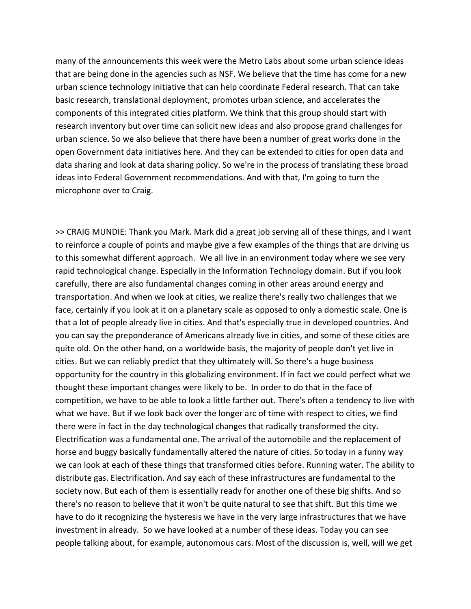many of the announcements this week were the Metro Labs about some urban science ideas that are being done in the agencies such as NSF. We believe that the time has come for a new urban science technology initiative that can help coordinate Federal research. That can take basic research, translational deployment, promotes urban science, and accelerates the components of this integrated cities platform. We think that this group should start with research inventory but over time can solicit new ideas and also propose grand challenges for urban science. So we also believe that there have been a number of great works done in the open Government data initiatives here. And they can be extended to cities for open data and data sharing and look at data sharing policy. So we're in the process of translating these broad ideas into Federal Government recommendations. And with that, I'm going to turn the microphone over to Craig.

>> CRAIG MUNDIE: Thank you Mark. Mark did a great job serving all of these things, and I want to reinforce a couple of points and maybe give a few examples of the things that are driving us to this somewhat different approach. We all live in an environment today where we see very rapid technological change. Especially in the Information Technology domain. But if you look carefully, there are also fundamental changes coming in other areas around energy and transportation. And when we look at cities, we realize there's really two challenges that we face, certainly if you look at it on a planetary scale as opposed to only a domestic scale. One is that a lot of people already live in cities. And that's especially true in developed countries. And you can say the preponderance of Americans already live in cities, and some of these cities are quite old. On the other hand, on a worldwide basis, the majority of people don't yet live in cities. But we can reliably predict that they ultimately will. So there's a huge business opportunity for the country in this globalizing environment. If in fact we could perfect what we thought these important changes were likely to be. In order to do that in the face of competition, we have to be able to look a little farther out. There's often a tendency to live with what we have. But if we look back over the longer arc of time with respect to cities, we find there were in fact in the day technological changes that radically transformed the city. Electrification was a fundamental one. The arrival of the automobile and the replacement of horse and buggy basically fundamentally altered the nature of cities. So today in a funny way we can look at each of these things that transformed cities before. Running water. The ability to distribute gas. Electrification. And say each of these infrastructures are fundamental to the society now. But each of them is essentially ready for another one of these big shifts. And so there's no reason to believe that it won't be quite natural to see that shift. But this time we have to do it recognizing the hysteresis we have in the very large infrastructures that we have investment in already. So we have looked at a number of these ideas. Today you can see people talking about, for example, autonomous cars. Most of the discussion is, well, will we get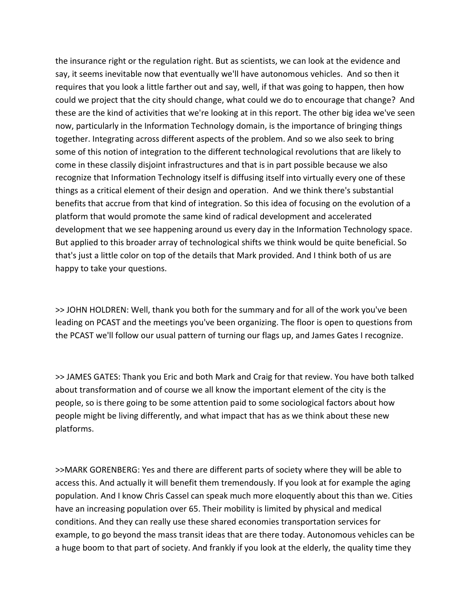the insurance right or the regulation right. But as scientists, we can look at the evidence and say, it seems inevitable now that eventually we'll have autonomous vehicles. And so then it requires that you look a little farther out and say, well, if that was going to happen, then how could we project that the city should change, what could we do to encourage that change? And these are the kind of activities that we're looking at in this report. The other big idea we've seen now, particularly in the Information Technology domain, is the importance of bringing things together. Integrating across different aspects of the problem. And so we also seek to bring some of this notion of integration to the different technological revolutions that are likely to come in these classily disjoint infrastructures and that is in part possible because we also recognize that Information Technology itself is diffusing itself into virtually every one of these things as a critical element of their design and operation. And we think there's substantial benefits that accrue from that kind of integration. So this idea of focusing on the evolution of a platform that would promote the same kind of radical development and accelerated development that we see happening around us every day in the Information Technology space. But applied to this broader array of technological shifts we think would be quite beneficial. So that's just a little color on top of the details that Mark provided. And I think both of us are happy to take your questions.

>> JOHN HOLDREN: Well, thank you both for the summary and for all of the work you've been leading on PCAST and the meetings you've been organizing. The floor is open to questions from the PCAST we'll follow our usual pattern of turning our flags up, and James Gates I recognize.

>> JAMES GATES: Thank you Eric and both Mark and Craig for that review. You have both talked about transformation and of course we all know the important element of the city is the people, so is there going to be some attention paid to some sociological factors about how people might be living differently, and what impact that has as we think about these new platforms.

>>MARK GORENBERG: Yes and there are different parts of society where they will be able to access this. And actually it will benefit them tremendously. If you look at for example the aging population. And I know Chris Cassel can speak much more eloquently about this than we. Cities have an increasing population over 65. Their mobility is limited by physical and medical conditions. And they can really use these shared economies transportation services for example, to go beyond the mass transit ideas that are there today. Autonomous vehicles can be a huge boom to that part of society. And frankly if you look at the elderly, the quality time they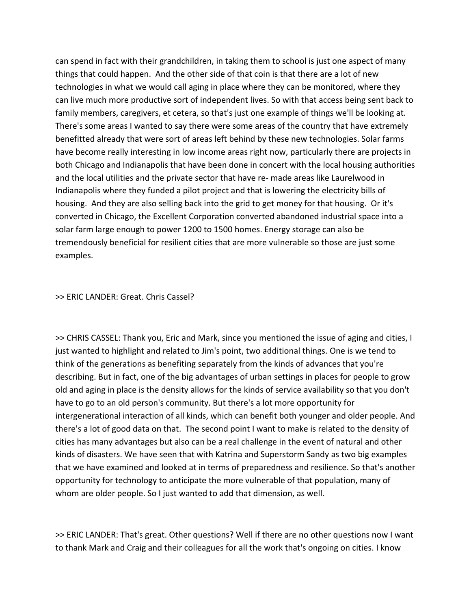can spend in fact with their grandchildren, in taking them to school is just one aspect of many things that could happen. And the other side of that coin is that there are a lot of new technologies in what we would call aging in place where they can be monitored, where they can live much more productive sort of independent lives. So with that access being sent back to family members, caregivers, et cetera, so that's just one example of things we'll be looking at. There's some areas I wanted to say there were some areas of the country that have extremely benefitted already that were sort of areas left behind by these new technologies. Solar farms have become really interesting in low income areas right now, particularly there are projects in both Chicago and Indianapolis that have been done in concert with the local housing authorities and the local utilities and the private sector that have re‐ made areas like Laurelwood in Indianapolis where they funded a pilot project and that is lowering the electricity bills of housing. And they are also selling back into the grid to get money for that housing. Or it's converted in Chicago, the Excellent Corporation converted abandoned industrial space into a solar farm large enough to power 1200 to 1500 homes. Energy storage can also be tremendously beneficial for resilient cities that are more vulnerable so those are just some examples.

#### >> ERIC LANDER: Great. Chris Cassel?

>> CHRIS CASSEL: Thank you, Eric and Mark, since you mentioned the issue of aging and cities, I just wanted to highlight and related to Jim's point, two additional things. One is we tend to think of the generations as benefiting separately from the kinds of advances that you're describing. But in fact, one of the big advantages of urban settings in places for people to grow old and aging in place is the density allows for the kinds of service availability so that you don't have to go to an old person's community. But there's a lot more opportunity for intergenerational interaction of all kinds, which can benefit both younger and older people. And there's a lot of good data on that. The second point I want to make is related to the density of cities has many advantages but also can be a real challenge in the event of natural and other kinds of disasters. We have seen that with Katrina and Superstorm Sandy as two big examples that we have examined and looked at in terms of preparedness and resilience. So that's another opportunity for technology to anticipate the more vulnerable of that population, many of whom are older people. So I just wanted to add that dimension, as well.

>> ERIC LANDER: That's great. Other questions? Well if there are no other questions now I want to thank Mark and Craig and their colleagues for all the work that's ongoing on cities. I know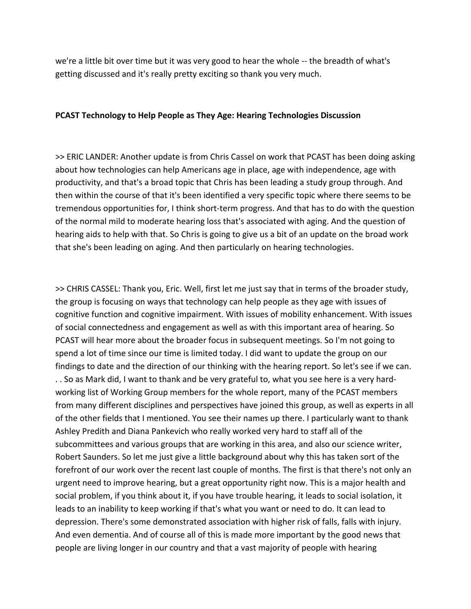we're a little bit over time but it was very good to hear the whole -- the breadth of what's getting discussed and it's really pretty exciting so thank you very much.

#### **PCAST Technology to Help People as They Age: Hearing Technologies Discussion**

>> ERIC LANDER: Another update is from Chris Cassel on work that PCAST has been doing asking about how technologies can help Americans age in place, age with independence, age with productivity, and that's a broad topic that Chris has been leading a study group through. And then within the course of that it's been identified a very specific topic where there seems to be tremendous opportunities for, I think short‐term progress. And that has to do with the question of the normal mild to moderate hearing loss that's associated with aging. And the question of hearing aids to help with that. So Chris is going to give us a bit of an update on the broad work that she's been leading on aging. And then particularly on hearing technologies.

>> CHRIS CASSEL: Thank you, Eric. Well, first let me just say that in terms of the broader study, the group is focusing on ways that technology can help people as they age with issues of cognitive function and cognitive impairment. With issues of mobility enhancement. With issues of social connectedness and engagement as well as with this important area of hearing. So PCAST will hear more about the broader focus in subsequent meetings. So I'm not going to spend a lot of time since our time is limited today. I did want to update the group on our findings to date and the direction of our thinking with the hearing report. So let's see if we can. . . So as Mark did, I want to thank and be very grateful to, what you see here is a very hard‐ working list of Working Group members for the whole report, many of the PCAST members from many different disciplines and perspectives have joined this group, as well as experts in all of the other fields that I mentioned. You see their names up there. I particularly want to thank Ashley Predith and Diana Pankevich who really worked very hard to staff all of the subcommittees and various groups that are working in this area, and also our science writer, Robert Saunders. So let me just give a little background about why this has taken sort of the forefront of our work over the recent last couple of months. The first is that there's not only an urgent need to improve hearing, but a great opportunity right now. This is a major health and social problem, if you think about it, if you have trouble hearing, it leads to social isolation, it leads to an inability to keep working if that's what you want or need to do. It can lead to depression. There's some demonstrated association with higher risk of falls, falls with injury. And even dementia. And of course all of this is made more important by the good news that people are living longer in our country and that a vast majority of people with hearing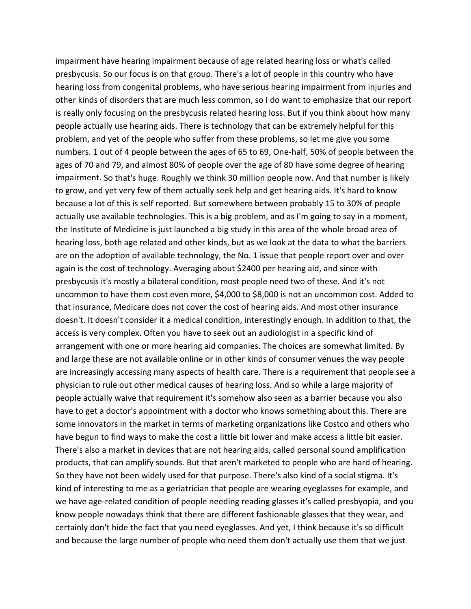impairment have hearing impairment because of age related hearing loss or what's called presbycusis. So our focus is on that group. There's a lot of people in this country who have hearing loss from congenital problems, who have serious hearing impairment from injuries and other kinds of disorders that are much less common, so I do want to emphasize that our report is really only focusing on the presbycusis related hearing loss. But if you think about how many people actually use hearing aids. There is technology that can be extremely helpful for this problem, and yet of the people who suffer from these problems, so let me give you some numbers. 1 out of 4 people between the ages of 65 to 69, One‐half, 50% of people between the ages of 70 and 79, and almost 80% of people over the age of 80 have some degree of hearing impairment. So that's huge. Roughly we think 30 million people now. And that number is likely to grow, and yet very few of them actually seek help and get hearing aids. It's hard to know because a lot of this is self reported. But somewhere between probably 15 to 30% of people actually use available technologies. This is a big problem, and as I'm going to say in a moment, the Institute of Medicine is just launched a big study in this area of the whole broad area of hearing loss, both age related and other kinds, but as we look at the data to what the barriers are on the adoption of available technology, the No. 1 issue that people report over and over again is the cost of technology. Averaging about \$2400 per hearing aid, and since with presbycusis it's mostly a bilateral condition, most people need two of these. And it's not uncommon to have them cost even more, \$4,000 to \$8,000 is not an uncommon cost. Added to that insurance, Medicare does not cover the cost of hearing aids. And most other insurance doesn't. It doesn't consider it a medical condition, interestingly enough. In addition to that, the access is very complex. Often you have to seek out an audiologist in a specific kind of arrangement with one or more hearing aid companies. The choices are somewhat limited. By and large these are not available online or in other kinds of consumer venues the way people are increasingly accessing many aspects of health care. There is a requirement that people see a physician to rule out other medical causes of hearing loss. And so while a large majority of people actually waive that requirement it's somehow also seen as a barrier because you also have to get a doctor's appointment with a doctor who knows something about this. There are some innovators in the market in terms of marketing organizations like Costco and others who have begun to find ways to make the cost a little bit lower and make access a little bit easier. There's also a market in devices that are not hearing aids, called personal sound amplification products, that can amplify sounds. But that aren't marketed to people who are hard of hearing. So they have not been widely used for that purpose. There's also kind of a social stigma. It's kind of interesting to me as a geriatrician that people are wearing eyeglasses for example, and we have age-related condition of people needing reading glasses it's called presbyopia, and you know people nowadays think that there are different fashionable glasses that they wear, and certainly don't hide the fact that you need eyeglasses. And yet, I think because it's so difficult and because the large number of people who need them don't actually use them that we just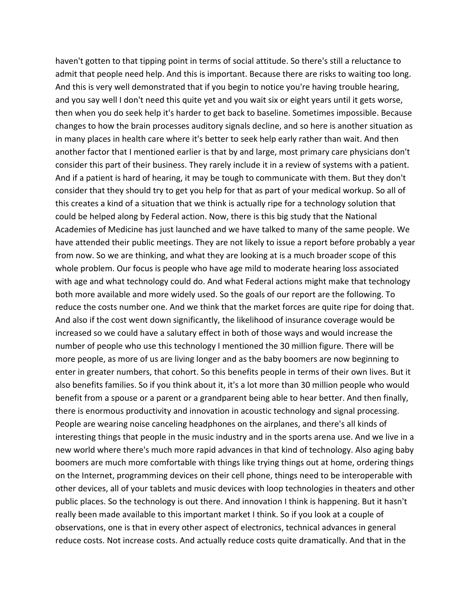haven't gotten to that tipping point in terms of social attitude. So there's still a reluctance to admit that people need help. And this is important. Because there are risks to waiting too long. And this is very well demonstrated that if you begin to notice you're having trouble hearing, and you say well I don't need this quite yet and you wait six or eight years until it gets worse, then when you do seek help it's harder to get back to baseline. Sometimes impossible. Because changes to how the brain processes auditory signals decline, and so here is another situation as in many places in health care where it's better to seek help early rather than wait. And then another factor that I mentioned earlier is that by and large, most primary care physicians don't consider this part of their business. They rarely include it in a review of systems with a patient. And if a patient is hard of hearing, it may be tough to communicate with them. But they don't consider that they should try to get you help for that as part of your medical workup. So all of this creates a kind of a situation that we think is actually ripe for a technology solution that could be helped along by Federal action. Now, there is this big study that the National Academies of Medicine has just launched and we have talked to many of the same people. We have attended their public meetings. They are not likely to issue a report before probably a year from now. So we are thinking, and what they are looking at is a much broader scope of this whole problem. Our focus is people who have age mild to moderate hearing loss associated with age and what technology could do. And what Federal actions might make that technology both more available and more widely used. So the goals of our report are the following. To reduce the costs number one. And we think that the market forces are quite ripe for doing that. And also if the cost went down significantly, the likelihood of insurance coverage would be increased so we could have a salutary effect in both of those ways and would increase the number of people who use this technology I mentioned the 30 million figure. There will be more people, as more of us are living longer and as the baby boomers are now beginning to enter in greater numbers, that cohort. So this benefits people in terms of their own lives. But it also benefits families. So if you think about it, it's a lot more than 30 million people who would benefit from a spouse or a parent or a grandparent being able to hear better. And then finally, there is enormous productivity and innovation in acoustic technology and signal processing. People are wearing noise canceling headphones on the airplanes, and there's all kinds of interesting things that people in the music industry and in the sports arena use. And we live in a new world where there's much more rapid advances in that kind of technology. Also aging baby boomers are much more comfortable with things like trying things out at home, ordering things on the Internet, programming devices on their cell phone, things need to be interoperable with other devices, all of your tablets and music devices with loop technologies in theaters and other public places. So the technology is out there. And innovation I think is happening. But it hasn't really been made available to this important market I think. So if you look at a couple of observations, one is that in every other aspect of electronics, technical advances in general reduce costs. Not increase costs. And actually reduce costs quite dramatically. And that in the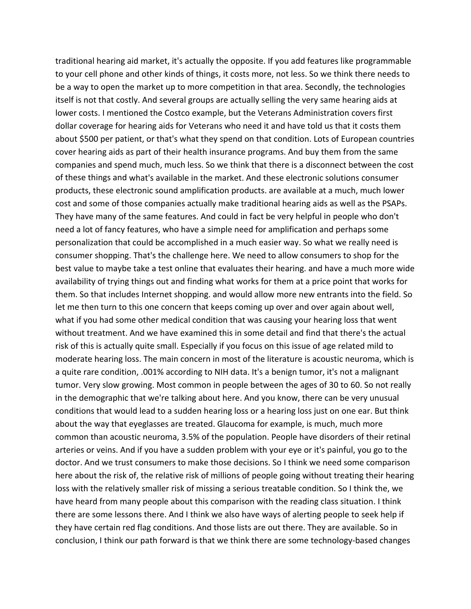traditional hearing aid market, it's actually the opposite. If you add features like programmable to your cell phone and other kinds of things, it costs more, not less. So we think there needs to be a way to open the market up to more competition in that area. Secondly, the technologies itself is not that costly. And several groups are actually selling the very same hearing aids at lower costs. I mentioned the Costco example, but the Veterans Administration covers first dollar coverage for hearing aids for Veterans who need it and have told us that it costs them about \$500 per patient, or that's what they spend on that condition. Lots of European countries cover hearing aids as part of their health insurance programs. And buy them from the same companies and spend much, much less. So we think that there is a disconnect between the cost of these things and what's available in the market. And these electronic solutions consumer products, these electronic sound amplification products. are available at a much, much lower cost and some of those companies actually make traditional hearing aids as well as the PSAPs. They have many of the same features. And could in fact be very helpful in people who don't need a lot of fancy features, who have a simple need for amplification and perhaps some personalization that could be accomplished in a much easier way. So what we really need is consumer shopping. That's the challenge here. We need to allow consumers to shop for the best value to maybe take a test online that evaluates their hearing. and have a much more wide availability of trying things out and finding what works for them at a price point that works for them. So that includes Internet shopping. and would allow more new entrants into the field. So let me then turn to this one concern that keeps coming up over and over again about well, what if you had some other medical condition that was causing your hearing loss that went without treatment. And we have examined this in some detail and find that there's the actual risk of this is actually quite small. Especially if you focus on this issue of age related mild to moderate hearing loss. The main concern in most of the literature is acoustic neuroma, which is a quite rare condition, .001% according to NIH data. It's a benign tumor, it's not a malignant tumor. Very slow growing. Most common in people between the ages of 30 to 60. So not really in the demographic that we're talking about here. And you know, there can be very unusual conditions that would lead to a sudden hearing loss or a hearing loss just on one ear. But think about the way that eyeglasses are treated. Glaucoma for example, is much, much more common than acoustic neuroma, 3.5% of the population. People have disorders of their retinal arteries or veins. And if you have a sudden problem with your eye or it's painful, you go to the doctor. And we trust consumers to make those decisions. So I think we need some comparison here about the risk of, the relative risk of millions of people going without treating their hearing loss with the relatively smaller risk of missing a serious treatable condition. So I think the, we have heard from many people about this comparison with the reading class situation. I think there are some lessons there. And I think we also have ways of alerting people to seek help if they have certain red flag conditions. And those lists are out there. They are available. So in conclusion, I think our path forward is that we think there are some technology‐based changes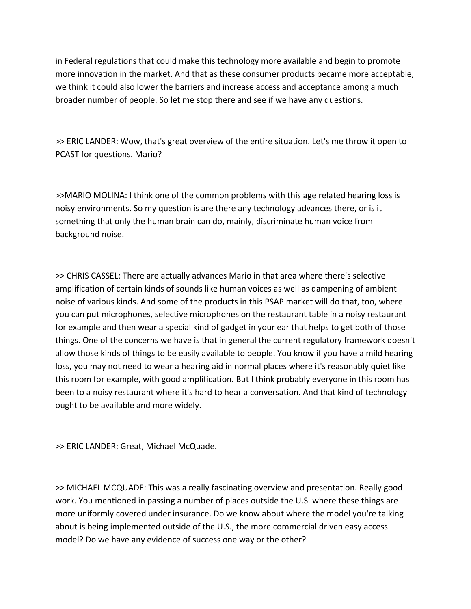in Federal regulations that could make this technology more available and begin to promote more innovation in the market. And that as these consumer products became more acceptable, we think it could also lower the barriers and increase access and acceptance among a much broader number of people. So let me stop there and see if we have any questions.

>> ERIC LANDER: Wow, that's great overview of the entire situation. Let's me throw it open to PCAST for questions. Mario?

>>MARIO MOLINA: I think one of the common problems with this age related hearing loss is noisy environments. So my question is are there any technology advances there, or is it something that only the human brain can do, mainly, discriminate human voice from background noise.

>> CHRIS CASSEL: There are actually advances Mario in that area where there's selective amplification of certain kinds of sounds like human voices as well as dampening of ambient noise of various kinds. And some of the products in this PSAP market will do that, too, where you can put microphones, selective microphones on the restaurant table in a noisy restaurant for example and then wear a special kind of gadget in your ear that helps to get both of those things. One of the concerns we have is that in general the current regulatory framework doesn't allow those kinds of things to be easily available to people. You know if you have a mild hearing loss, you may not need to wear a hearing aid in normal places where it's reasonably quiet like this room for example, with good amplification. But I think probably everyone in this room has been to a noisy restaurant where it's hard to hear a conversation. And that kind of technology ought to be available and more widely.

>> ERIC LANDER: Great, Michael McQuade.

>> MICHAEL MCQUADE: This was a really fascinating overview and presentation. Really good work. You mentioned in passing a number of places outside the U.S. where these things are more uniformly covered under insurance. Do we know about where the model you're talking about is being implemented outside of the U.S., the more commercial driven easy access model? Do we have any evidence of success one way or the other?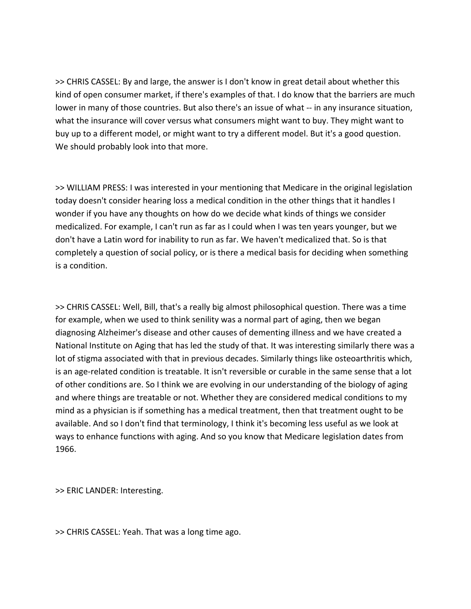>> CHRIS CASSEL: By and large, the answer is I don't know in great detail about whether this kind of open consumer market, if there's examples of that. I do know that the barriers are much lower in many of those countries. But also there's an issue of what -- in any insurance situation, what the insurance will cover versus what consumers might want to buy. They might want to buy up to a different model, or might want to try a different model. But it's a good question. We should probably look into that more.

>> WILLIAM PRESS: I was interested in your mentioning that Medicare in the original legislation today doesn't consider hearing loss a medical condition in the other things that it handles I wonder if you have any thoughts on how do we decide what kinds of things we consider medicalized. For example, I can't run as far as I could when I was ten years younger, but we don't have a Latin word for inability to run as far. We haven't medicalized that. So is that completely a question of social policy, or is there a medical basis for deciding when something is a condition.

>> CHRIS CASSEL: Well, Bill, that's a really big almost philosophical question. There was a time for example, when we used to think senility was a normal part of aging, then we began diagnosing Alzheimer's disease and other causes of dementing illness and we have created a National Institute on Aging that has led the study of that. It was interesting similarly there was a lot of stigma associated with that in previous decades. Similarly things like osteoarthritis which, is an age-related condition is treatable. It isn't reversible or curable in the same sense that a lot of other conditions are. So I think we are evolving in our understanding of the biology of aging and where things are treatable or not. Whether they are considered medical conditions to my mind as a physician is if something has a medical treatment, then that treatment ought to be available. And so I don't find that terminology, I think it's becoming less useful as we look at ways to enhance functions with aging. And so you know that Medicare legislation dates from 1966.

>> ERIC LANDER: Interesting.

>> CHRIS CASSEL: Yeah. That was a long time ago.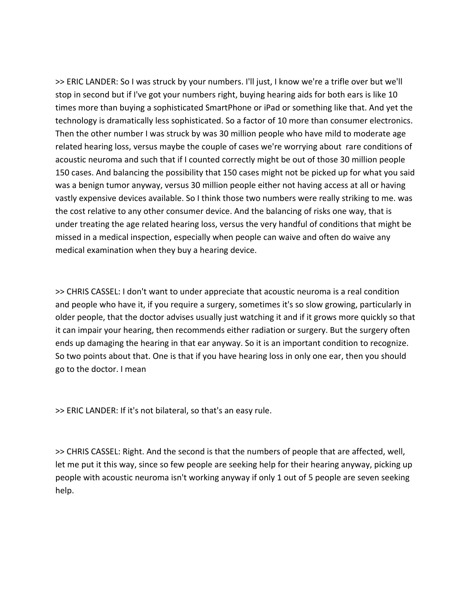>> ERIC LANDER: So I was struck by your numbers. I'll just, I know we're a trifle over but we'll stop in second but if I've got your numbers right, buying hearing aids for both ears is like 10 times more than buying a sophisticated SmartPhone or iPad or something like that. And yet the technology is dramatically less sophisticated. So a factor of 10 more than consumer electronics. Then the other number I was struck by was 30 million people who have mild to moderate age related hearing loss, versus maybe the couple of cases we're worrying about rare conditions of acoustic neuroma and such that if I counted correctly might be out of those 30 million people 150 cases. And balancing the possibility that 150 cases might not be picked up for what you said was a benign tumor anyway, versus 30 million people either not having access at all or having vastly expensive devices available. So I think those two numbers were really striking to me. was the cost relative to any other consumer device. And the balancing of risks one way, that is under treating the age related hearing loss, versus the very handful of conditions that might be missed in a medical inspection, especially when people can waive and often do waive any medical examination when they buy a hearing device.

>> CHRIS CASSEL: I don't want to under appreciate that acoustic neuroma is a real condition and people who have it, if you require a surgery, sometimes it's so slow growing, particularly in older people, that the doctor advises usually just watching it and if it grows more quickly so that it can impair your hearing, then recommends either radiation or surgery. But the surgery often ends up damaging the hearing in that ear anyway. So it is an important condition to recognize. So two points about that. One is that if you have hearing loss in only one ear, then you should go to the doctor. I mean

>> ERIC LANDER: If it's not bilateral, so that's an easy rule.

>> CHRIS CASSEL: Right. And the second is that the numbers of people that are affected, well, let me put it this way, since so few people are seeking help for their hearing anyway, picking up people with acoustic neuroma isn't working anyway if only 1 out of 5 people are seven seeking help.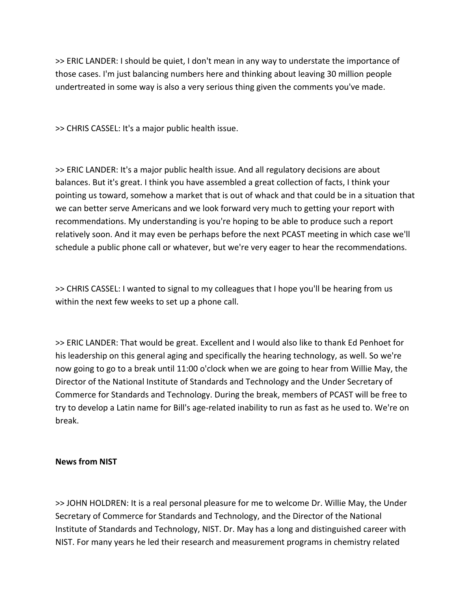>> ERIC LANDER: I should be quiet, I don't mean in any way to understate the importance of those cases. I'm just balancing numbers here and thinking about leaving 30 million people undertreated in some way is also a very serious thing given the comments you've made.

>> CHRIS CASSEL: It's a major public health issue.

>> ERIC LANDER: It's a major public health issue. And all regulatory decisions are about balances. But it's great. I think you have assembled a great collection of facts, I think your pointing us toward, somehow a market that is out of whack and that could be in a situation that we can better serve Americans and we look forward very much to getting your report with recommendations. My understanding is you're hoping to be able to produce such a report relatively soon. And it may even be perhaps before the next PCAST meeting in which case we'll schedule a public phone call or whatever, but we're very eager to hear the recommendations.

>> CHRIS CASSEL: I wanted to signal to my colleagues that I hope you'll be hearing from us within the next few weeks to set up a phone call.

>> ERIC LANDER: That would be great. Excellent and I would also like to thank Ed Penhoet for his leadership on this general aging and specifically the hearing technology, as well. So we're now going to go to a break until 11:00 o'clock when we are going to hear from Willie May, the Director of the National Institute of Standards and Technology and the Under Secretary of Commerce for Standards and Technology. During the break, members of PCAST will be free to try to develop a Latin name for Bill's age‐related inability to run as fast as he used to. We're on break.

### **News from NIST**

>> JOHN HOLDREN: It is a real personal pleasure for me to welcome Dr. Willie May, the Under Secretary of Commerce for Standards and Technology, and the Director of the National Institute of Standards and Technology, NIST. Dr. May has a long and distinguished career with NIST. For many years he led their research and measurement programs in chemistry related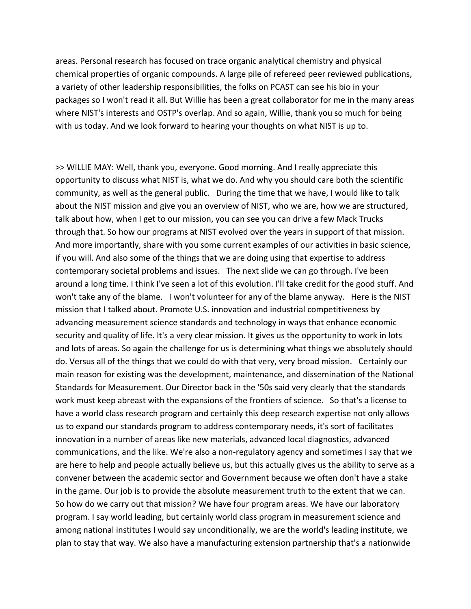areas. Personal research has focused on trace organic analytical chemistry and physical chemical properties of organic compounds. A large pile of refereed peer reviewed publications, a variety of other leadership responsibilities, the folks on PCAST can see his bio in your packages so I won't read it all. But Willie has been a great collaborator for me in the many areas where NIST's interests and OSTP's overlap. And so again, Willie, thank you so much for being with us today. And we look forward to hearing your thoughts on what NIST is up to.

>> WILLIE MAY: Well, thank you, everyone. Good morning. And I really appreciate this opportunity to discuss what NIST is, what we do. And why you should care both the scientific community, as well as the general public. During the time that we have, I would like to talk about the NIST mission and give you an overview of NIST, who we are, how we are structured, talk about how, when I get to our mission, you can see you can drive a few Mack Trucks through that. So how our programs at NIST evolved over the years in support of that mission. And more importantly, share with you some current examples of our activities in basic science, if you will. And also some of the things that we are doing using that expertise to address contemporary societal problems and issues. The next slide we can go through. I've been around a long time. I think I've seen a lot of this evolution. I'll take credit for the good stuff. And won't take any of the blame. I won't volunteer for any of the blame anyway. Here is the NIST mission that I talked about. Promote U.S. innovation and industrial competitiveness by advancing measurement science standards and technology in ways that enhance economic security and quality of life. It's a very clear mission. It gives us the opportunity to work in lots and lots of areas. So again the challenge for us is determining what things we absolutely should do. Versus all of the things that we could do with that very, very broad mission. Certainly our main reason for existing was the development, maintenance, and dissemination of the National Standards for Measurement. Our Director back in the '50s said very clearly that the standards work must keep abreast with the expansions of the frontiers of science. So that's a license to have a world class research program and certainly this deep research expertise not only allows us to expand our standards program to address contemporary needs, it's sort of facilitates innovation in a number of areas like new materials, advanced local diagnostics, advanced communications, and the like. We're also a non‐regulatory agency and sometimes I say that we are here to help and people actually believe us, but this actually gives us the ability to serve as a convener between the academic sector and Government because we often don't have a stake in the game. Our job is to provide the absolute measurement truth to the extent that we can. So how do we carry out that mission? We have four program areas. We have our laboratory program. I say world leading, but certainly world class program in measurement science and among national institutes I would say unconditionally, we are the world's leading institute, we plan to stay that way. We also have a manufacturing extension partnership that's a nationwide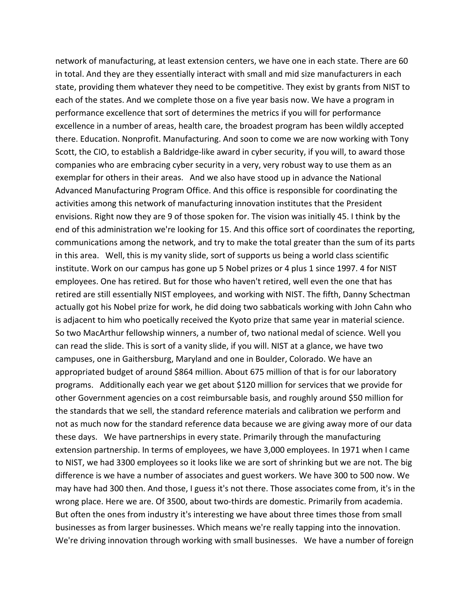network of manufacturing, at least extension centers, we have one in each state. There are 60 in total. And they are they essentially interact with small and mid size manufacturers in each state, providing them whatever they need to be competitive. They exist by grants from NIST to each of the states. And we complete those on a five year basis now. We have a program in performance excellence that sort of determines the metrics if you will for performance excellence in a number of areas, health care, the broadest program has been wildly accepted there. Education. Nonprofit. Manufacturing. And soon to come we are now working with Tony Scott, the CIO, to establish a Baldridge-like award in cyber security, if you will, to award those companies who are embracing cyber security in a very, very robust way to use them as an exemplar for others in their areas. And we also have stood up in advance the National Advanced Manufacturing Program Office. And this office is responsible for coordinating the activities among this network of manufacturing innovation institutes that the President envisions. Right now they are 9 of those spoken for. The vision was initially 45. I think by the end of this administration we're looking for 15. And this office sort of coordinates the reporting, communications among the network, and try to make the total greater than the sum of its parts in this area. Well, this is my vanity slide, sort of supports us being a world class scientific institute. Work on our campus has gone up 5 Nobel prizes or 4 plus 1 since 1997. 4 for NIST employees. One has retired. But for those who haven't retired, well even the one that has retired are still essentially NIST employees, and working with NIST. The fifth, Danny Schectman actually got his Nobel prize for work, he did doing two sabbaticals working with John Cahn who is adjacent to him who poetically received the Kyoto prize that same year in material science. So two MacArthur fellowship winners, a number of, two national medal of science. Well you can read the slide. This is sort of a vanity slide, if you will. NIST at a glance, we have two campuses, one in Gaithersburg, Maryland and one in Boulder, Colorado. We have an appropriated budget of around \$864 million. About 675 million of that is for our laboratory programs. Additionally each year we get about \$120 million for services that we provide for other Government agencies on a cost reimbursable basis, and roughly around \$50 million for the standards that we sell, the standard reference materials and calibration we perform and not as much now for the standard reference data because we are giving away more of our data these days. We have partnerships in every state. Primarily through the manufacturing extension partnership. In terms of employees, we have 3,000 employees. In 1971 when I came to NIST, we had 3300 employees so it looks like we are sort of shrinking but we are not. The big difference is we have a number of associates and guest workers. We have 300 to 500 now. We may have had 300 then. And those, I guess it's not there. Those associates come from, it's in the wrong place. Here we are. Of 3500, about two-thirds are domestic. Primarily from academia. But often the ones from industry it's interesting we have about three times those from small businesses as from larger businesses. Which means we're really tapping into the innovation. We're driving innovation through working with small businesses. We have a number of foreign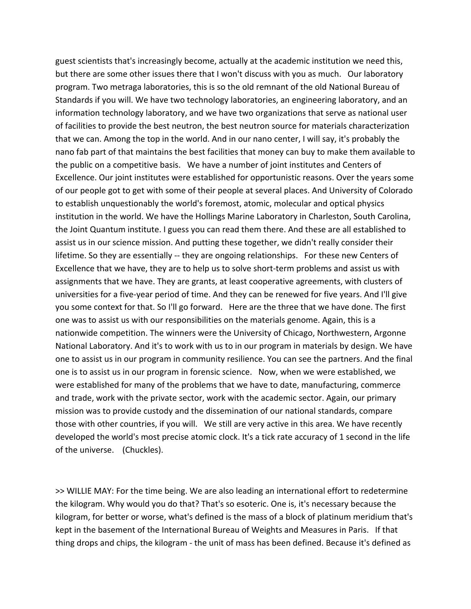guest scientists that's increasingly become, actually at the academic institution we need this, but there are some other issues there that I won't discuss with you as much. Our laboratory program. Two metraga laboratories, this is so the old remnant of the old National Bureau of Standards if you will. We have two technology laboratories, an engineering laboratory, and an information technology laboratory, and we have two organizations that serve as national user of facilities to provide the best neutron, the best neutron source for materials characterization that we can. Among the top in the world. And in our nano center, I will say, it's probably the nano fab part of that maintains the best facilities that money can buy to make them available to the public on a competitive basis. We have a number of joint institutes and Centers of Excellence. Our joint institutes were established for opportunistic reasons. Over the years some of our people got to get with some of their people at several places. And University of Colorado to establish unquestionably the world's foremost, atomic, molecular and optical physics institution in the world. We have the Hollings Marine Laboratory in Charleston, South Carolina, the Joint Quantum institute. I guess you can read them there. And these are all established to assist us in our science mission. And putting these together, we didn't really consider their lifetime. So they are essentially -- they are ongoing relationships. For these new Centers of Excellence that we have, they are to help us to solve short-term problems and assist us with assignments that we have. They are grants, at least cooperative agreements, with clusters of universities for a five‐year period of time. And they can be renewed for five years. And I'll give you some context for that. So I'll go forward. Here are the three that we have done. The first one was to assist us with our responsibilities on the materials genome. Again, this is a nationwide competition. The winners were the University of Chicago, Northwestern, Argonne National Laboratory. And it's to work with us to in our program in materials by design. We have one to assist us in our program in community resilience. You can see the partners. And the final one is to assist us in our program in forensic science. Now, when we were established, we were established for many of the problems that we have to date, manufacturing, commerce and trade, work with the private sector, work with the academic sector. Again, our primary mission was to provide custody and the dissemination of our national standards, compare those with other countries, if you will. We still are very active in this area. We have recently developed the world's most precise atomic clock. It's a tick rate accuracy of 1 second in the life of the universe. (Chuckles).

>> WILLIE MAY: For the time being. We are also leading an international effort to redetermine the kilogram. Why would you do that? That's so esoteric. One is, it's necessary because the kilogram, for better or worse, what's defined is the mass of a block of platinum meridium that's kept in the basement of the International Bureau of Weights and Measures in Paris. If that thing drops and chips, the kilogram ‐ the unit of mass has been defined. Because it's defined as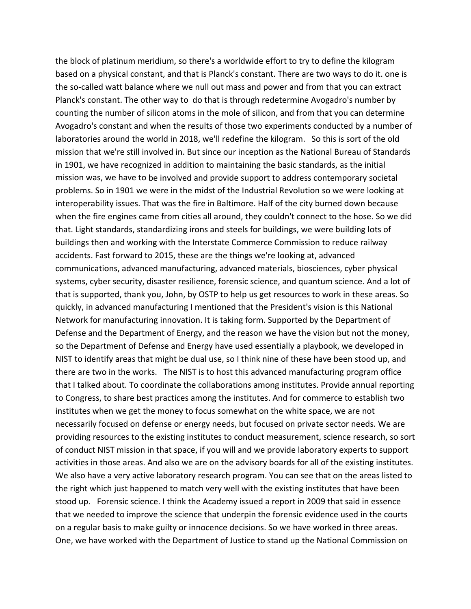the block of platinum meridium, so there's a worldwide effort to try to define the kilogram based on a physical constant, and that is Planck's constant. There are two ways to do it. one is the so-called watt balance where we null out mass and power and from that you can extract Planck's constant. The other way to do that is through redetermine Avogadro's number by counting the number of silicon atoms in the mole of silicon, and from that you can determine Avogadro's constant and when the results of those two experiments conducted by a number of laboratories around the world in 2018, we'll redefine the kilogram. So this is sort of the old mission that we're still involved in. But since our inception as the National Bureau of Standards in 1901, we have recognized in addition to maintaining the basic standards, as the initial mission was, we have to be involved and provide support to address contemporary societal problems. So in 1901 we were in the midst of the Industrial Revolution so we were looking at interoperability issues. That was the fire in Baltimore. Half of the city burned down because when the fire engines came from cities all around, they couldn't connect to the hose. So we did that. Light standards, standardizing irons and steels for buildings, we were building lots of buildings then and working with the Interstate Commerce Commission to reduce railway accidents. Fast forward to 2015, these are the things we're looking at, advanced communications, advanced manufacturing, advanced materials, biosciences, cyber physical systems, cyber security, disaster resilience, forensic science, and quantum science. And a lot of that is supported, thank you, John, by OSTP to help us get resources to work in these areas. So quickly, in advanced manufacturing I mentioned that the President's vision is this National Network for manufacturing innovation. It is taking form. Supported by the Department of Defense and the Department of Energy, and the reason we have the vision but not the money, so the Department of Defense and Energy have used essentially a playbook, we developed in NIST to identify areas that might be dual use, so I think nine of these have been stood up, and there are two in the works. The NIST is to host this advanced manufacturing program office that I talked about. To coordinate the collaborations among institutes. Provide annual reporting to Congress, to share best practices among the institutes. And for commerce to establish two institutes when we get the money to focus somewhat on the white space, we are not necessarily focused on defense or energy needs, but focused on private sector needs. We are providing resources to the existing institutes to conduct measurement, science research, so sort of conduct NIST mission in that space, if you will and we provide laboratory experts to support activities in those areas. And also we are on the advisory boards for all of the existing institutes. We also have a very active laboratory research program. You can see that on the areas listed to the right which just happened to match very well with the existing institutes that have been stood up. Forensic science. I think the Academy issued a report in 2009 that said in essence that we needed to improve the science that underpin the forensic evidence used in the courts on a regular basis to make guilty or innocence decisions. So we have worked in three areas. One, we have worked with the Department of Justice to stand up the National Commission on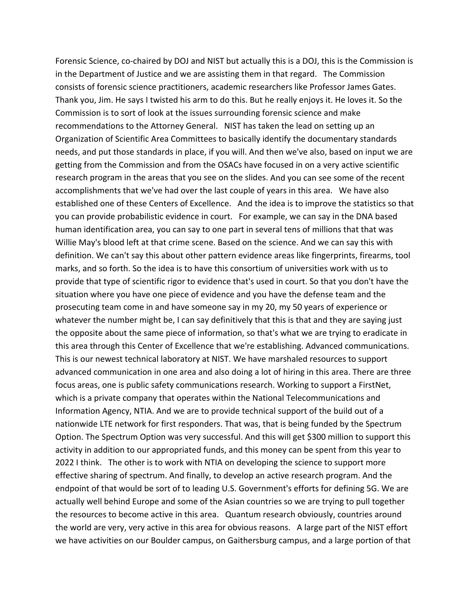Forensic Science, co-chaired by DOJ and NIST but actually this is a DOJ, this is the Commission is in the Department of Justice and we are assisting them in that regard. The Commission consists of forensic science practitioners, academic researchers like Professor James Gates. Thank you, Jim. He says I twisted his arm to do this. But he really enjoys it. He loves it. So the Commission is to sort of look at the issues surrounding forensic science and make recommendations to the Attorney General. NIST has taken the lead on setting up an Organization of Scientific Area Committees to basically identify the documentary standards needs, and put those standards in place, if you will. And then we've also, based on input we are getting from the Commission and from the OSACs have focused in on a very active scientific research program in the areas that you see on the slides. And you can see some of the recent accomplishments that we've had over the last couple of years in this area. We have also established one of these Centers of Excellence. And the idea is to improve the statistics so that you can provide probabilistic evidence in court. For example, we can say in the DNA based human identification area, you can say to one part in several tens of millions that that was Willie May's blood left at that crime scene. Based on the science. And we can say this with definition. We can't say this about other pattern evidence areas like fingerprints, firearms, tool marks, and so forth. So the idea is to have this consortium of universities work with us to provide that type of scientific rigor to evidence that's used in court. So that you don't have the situation where you have one piece of evidence and you have the defense team and the prosecuting team come in and have someone say in my 20, my 50 years of experience or whatever the number might be, I can say definitively that this is that and they are saying just the opposite about the same piece of information, so that's what we are trying to eradicate in this area through this Center of Excellence that we're establishing. Advanced communications. This is our newest technical laboratory at NIST. We have marshaled resources to support advanced communication in one area and also doing a lot of hiring in this area. There are three focus areas, one is public safety communications research. Working to support a FirstNet, which is a private company that operates within the National Telecommunications and Information Agency, NTIA. And we are to provide technical support of the build out of a nationwide LTE network for first responders. That was, that is being funded by the Spectrum Option. The Spectrum Option was very successful. And this will get \$300 million to support this activity in addition to our appropriated funds, and this money can be spent from this year to 2022 I think. The other is to work with NTIA on developing the science to support more effective sharing of spectrum. And finally, to develop an active research program. And the endpoint of that would be sort of to leading U.S. Government's efforts for defining 5G. We are actually well behind Europe and some of the Asian countries so we are trying to pull together the resources to become active in this area. Quantum research obviously, countries around the world are very, very active in this area for obvious reasons. A large part of the NIST effort we have activities on our Boulder campus, on Gaithersburg campus, and a large portion of that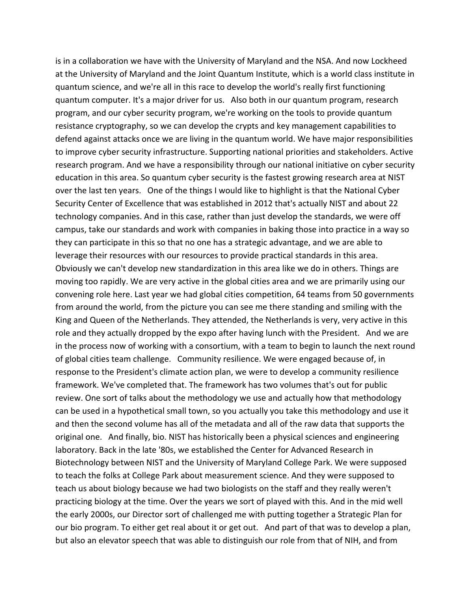is in a collaboration we have with the University of Maryland and the NSA. And now Lockheed at the University of Maryland and the Joint Quantum Institute, which is a world class institute in quantum science, and we're all in this race to develop the world's really first functioning quantum computer. It's a major driver for us. Also both in our quantum program, research program, and our cyber security program, we're working on the tools to provide quantum resistance cryptography, so we can develop the crypts and key management capabilities to defend against attacks once we are living in the quantum world. We have major responsibilities to improve cyber security infrastructure. Supporting national priorities and stakeholders. Active research program. And we have a responsibility through our national initiative on cyber security education in this area. So quantum cyber security is the fastest growing research area at NIST over the last ten years. One of the things I would like to highlight is that the National Cyber Security Center of Excellence that was established in 2012 that's actually NIST and about 22 technology companies. And in this case, rather than just develop the standards, we were off campus, take our standards and work with companies in baking those into practice in a way so they can participate in this so that no one has a strategic advantage, and we are able to leverage their resources with our resources to provide practical standards in this area. Obviously we can't develop new standardization in this area like we do in others. Things are moving too rapidly. We are very active in the global cities area and we are primarily using our convening role here. Last year we had global cities competition, 64 teams from 50 governments from around the world, from the picture you can see me there standing and smiling with the King and Queen of the Netherlands. They attended, the Netherlands is very, very active in this role and they actually dropped by the expo after having lunch with the President. And we are in the process now of working with a consortium, with a team to begin to launch the next round of global cities team challenge. Community resilience. We were engaged because of, in response to the President's climate action plan, we were to develop a community resilience framework. We've completed that. The framework has two volumes that's out for public review. One sort of talks about the methodology we use and actually how that methodology can be used in a hypothetical small town, so you actually you take this methodology and use it and then the second volume has all of the metadata and all of the raw data that supports the original one. And finally, bio. NIST has historically been a physical sciences and engineering laboratory. Back in the late '80s, we established the Center for Advanced Research in Biotechnology between NIST and the University of Maryland College Park. We were supposed to teach the folks at College Park about measurement science. And they were supposed to teach us about biology because we had two biologists on the staff and they really weren't practicing biology at the time. Over the years we sort of played with this. And in the mid well the early 2000s, our Director sort of challenged me with putting together a Strategic Plan for our bio program. To either get real about it or get out. And part of that was to develop a plan, but also an elevator speech that was able to distinguish our role from that of NIH, and from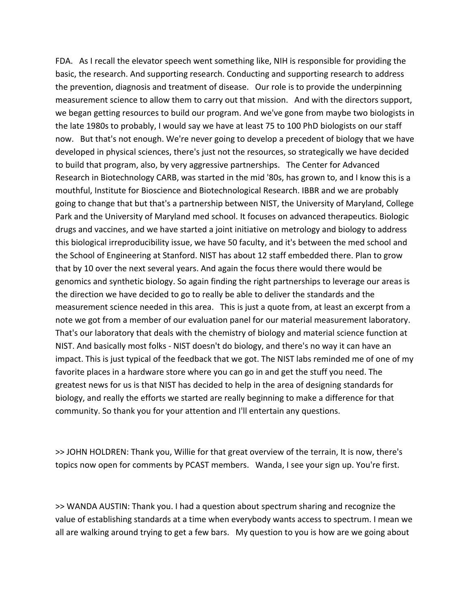FDA. As I recall the elevator speech went something like, NIH is responsible for providing the basic, the research. And supporting research. Conducting and supporting research to address the prevention, diagnosis and treatment of disease. Our role is to provide the underpinning measurement science to allow them to carry out that mission. And with the directors support, we began getting resources to build our program. And we've gone from maybe two biologists in the late 1980s to probably, I would say we have at least 75 to 100 PhD biologists on our staff now. But that's not enough. We're never going to develop a precedent of biology that we have developed in physical sciences, there's just not the resources, so strategically we have decided to build that program, also, by very aggressive partnerships. The Center for Advanced Research in Biotechnology CARB, was started in the mid '80s, has grown to, and I know this is a mouthful, Institute for Bioscience and Biotechnological Research. IBBR and we are probably going to change that but that's a partnership between NIST, the University of Maryland, College Park and the University of Maryland med school. It focuses on advanced therapeutics. Biologic drugs and vaccines, and we have started a joint initiative on metrology and biology to address this biological irreproducibility issue, we have 50 faculty, and it's between the med school and the School of Engineering at Stanford. NIST has about 12 staff embedded there. Plan to grow that by 10 over the next several years. And again the focus there would there would be genomics and synthetic biology. So again finding the right partnerships to leverage our areas is the direction we have decided to go to really be able to deliver the standards and the measurement science needed in this area. This is just a quote from, at least an excerpt from a note we got from a member of our evaluation panel for our material measurement laboratory. That's our laboratory that deals with the chemistry of biology and material science function at NIST. And basically most folks ‐ NIST doesn't do biology, and there's no way it can have an impact. This is just typical of the feedback that we got. The NIST labs reminded me of one of my favorite places in a hardware store where you can go in and get the stuff you need. The greatest news for us is that NIST has decided to help in the area of designing standards for biology, and really the efforts we started are really beginning to make a difference for that community. So thank you for your attention and I'll entertain any questions.

>> JOHN HOLDREN: Thank you, Willie for that great overview of the terrain, It is now, there's topics now open for comments by PCAST members. Wanda, I see your sign up. You're first.

>> WANDA AUSTIN: Thank you. I had a question about spectrum sharing and recognize the value of establishing standards at a time when everybody wants access to spectrum. I mean we all are walking around trying to get a few bars. My question to you is how are we going about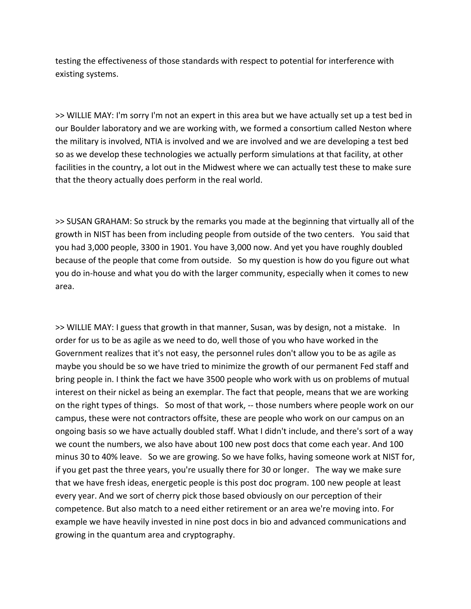testing the effectiveness of those standards with respect to potential for interference with existing systems.

>> WILLIE MAY: I'm sorry I'm not an expert in this area but we have actually set up a test bed in our Boulder laboratory and we are working with, we formed a consortium called Neston where the military is involved, NTIA is involved and we are involved and we are developing a test bed so as we develop these technologies we actually perform simulations at that facility, at other facilities in the country, a lot out in the Midwest where we can actually test these to make sure that the theory actually does perform in the real world.

>> SUSAN GRAHAM: So struck by the remarks you made at the beginning that virtually all of the growth in NIST has been from including people from outside of the two centers. You said that you had 3,000 people, 3300 in 1901. You have 3,000 now. And yet you have roughly doubled because of the people that come from outside. So my question is how do you figure out what you do in‐house and what you do with the larger community, especially when it comes to new area.

>> WILLIE MAY: I guess that growth in that manner, Susan, was by design, not a mistake. In order for us to be as agile as we need to do, well those of you who have worked in the Government realizes that it's not easy, the personnel rules don't allow you to be as agile as maybe you should be so we have tried to minimize the growth of our permanent Fed staff and bring people in. I think the fact we have 3500 people who work with us on problems of mutual interest on their nickel as being an exemplar. The fact that people, means that we are working on the right types of things. So most of that work, -- those numbers where people work on our campus, these were not contractors offsite, these are people who work on our campus on an ongoing basis so we have actually doubled staff. What I didn't include, and there's sort of a way we count the numbers, we also have about 100 new post docs that come each year. And 100 minus 30 to 40% leave. So we are growing. So we have folks, having someone work at NIST for, if you get past the three years, you're usually there for 30 or longer. The way we make sure that we have fresh ideas, energetic people is this post doc program. 100 new people at least every year. And we sort of cherry pick those based obviously on our perception of their competence. But also match to a need either retirement or an area we're moving into. For example we have heavily invested in nine post docs in bio and advanced communications and growing in the quantum area and cryptography.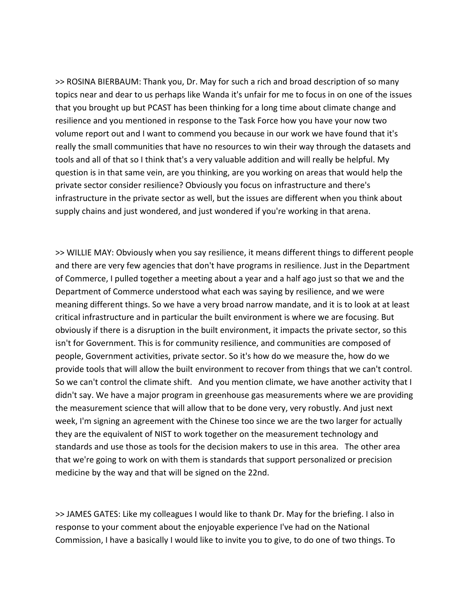>> ROSINA BIERBAUM: Thank you, Dr. May for such a rich and broad description of so many topics near and dear to us perhaps like Wanda it's unfair for me to focus in on one of the issues that you brought up but PCAST has been thinking for a long time about climate change and resilience and you mentioned in response to the Task Force how you have your now two volume report out and I want to commend you because in our work we have found that it's really the small communities that have no resources to win their way through the datasets and tools and all of that so I think that's a very valuable addition and will really be helpful. My question is in that same vein, are you thinking, are you working on areas that would help the private sector consider resilience? Obviously you focus on infrastructure and there's infrastructure in the private sector as well, but the issues are different when you think about supply chains and just wondered, and just wondered if you're working in that arena.

>> WILLIE MAY: Obviously when you say resilience, it means different things to different people and there are very few agencies that don't have programs in resilience. Just in the Department of Commerce, I pulled together a meeting about a year and a half ago just so that we and the Department of Commerce understood what each was saying by resilience, and we were meaning different things. So we have a very broad narrow mandate, and it is to look at at least critical infrastructure and in particular the built environment is where we are focusing. But obviously if there is a disruption in the built environment, it impacts the private sector, so this isn't for Government. This is for community resilience, and communities are composed of people, Government activities, private sector. So it's how do we measure the, how do we provide tools that will allow the built environment to recover from things that we can't control. So we can't control the climate shift. And you mention climate, we have another activity that I didn't say. We have a major program in greenhouse gas measurements where we are providing the measurement science that will allow that to be done very, very robustly. And just next week, I'm signing an agreement with the Chinese too since we are the two larger for actually they are the equivalent of NIST to work together on the measurement technology and standards and use those as tools for the decision makers to use in this area. The other area that we're going to work on with them is standards that support personalized or precision medicine by the way and that will be signed on the 22nd.

>> JAMES GATES: Like my colleagues I would like to thank Dr. May for the briefing. I also in response to your comment about the enjoyable experience I've had on the National Commission, I have a basically I would like to invite you to give, to do one of two things. To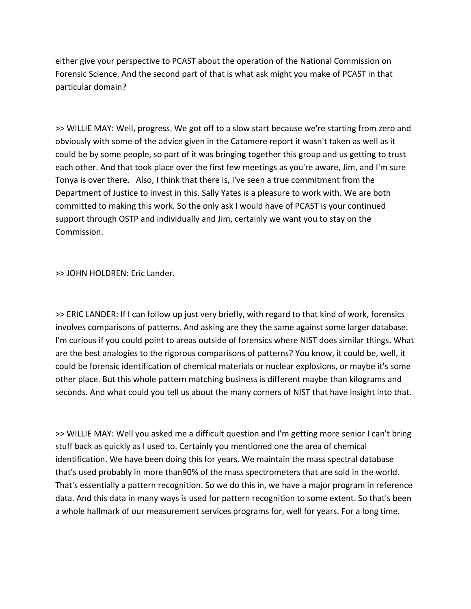either give your perspective to PCAST about the operation of the National Commission on Forensic Science. And the second part of that is what ask might you make of PCAST in that particular domain?

>> WILLIE MAY: Well, progress. We got off to a slow start because we're starting from zero and obviously with some of the advice given in the Catamere report it wasn't taken as well as it could be by some people, so part of it was bringing together this group and us getting to trust each other. And that took place over the first few meetings as you're aware, Jim, and I'm sure Tonya is over there. Also, I think that there is, I've seen a true commitment from the Department of Justice to invest in this. Sally Yates is a pleasure to work with. We are both committed to making this work. So the only ask I would have of PCAST is your continued support through OSTP and individually and Jim, certainly we want you to stay on the Commission.

>> JOHN HOLDREN: Eric Lander.

>> ERIC LANDER: If I can follow up just very briefly, with regard to that kind of work, forensics involves comparisons of patterns. And asking are they the same against some larger database. I'm curious if you could point to areas outside of forensics where NIST does similar things. What are the best analogies to the rigorous comparisons of patterns? You know, it could be, well, it could be forensic identification of chemical materials or nuclear explosions, or maybe it's some other place. But this whole pattern matching business is different maybe than kilograms and seconds. And what could you tell us about the many corners of NIST that have insight into that.

>> WILLIE MAY: Well you asked me a difficult question and I'm getting more senior I can't bring stuff back as quickly as I used to. Certainly you mentioned one the area of chemical identification. We have been doing this for years. We maintain the mass spectral database that's used probably in more than90% of the mass spectrometers that are sold in the world. That's essentially a pattern recognition. So we do this in, we have a major program in reference data. And this data in many ways is used for pattern recognition to some extent. So that's been a whole hallmark of our measurement services programs for, well for years. For a long time.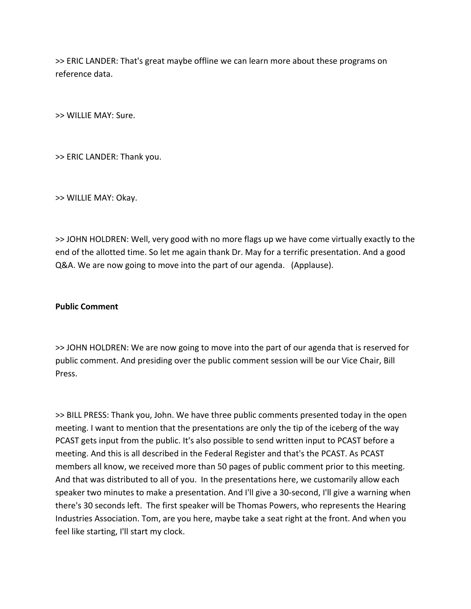>> ERIC LANDER: That's great maybe offline we can learn more about these programs on reference data.

>> WILLIE MAY: Sure.

>> ERIC LANDER: Thank you.

>> WILLIE MAY: Okay.

>> JOHN HOLDREN: Well, very good with no more flags up we have come virtually exactly to the end of the allotted time. So let me again thank Dr. May for a terrific presentation. And a good Q&A. We are now going to move into the part of our agenda. (Applause).

#### **Public Comment**

>> JOHN HOLDREN: We are now going to move into the part of our agenda that is reserved for public comment. And presiding over the public comment session will be our Vice Chair, Bill Press.

>> BILL PRESS: Thank you, John. We have three public comments presented today in the open meeting. I want to mention that the presentations are only the tip of the iceberg of the way PCAST gets input from the public. It's also possible to send written input to PCAST before a meeting. And this is all described in the Federal Register and that's the PCAST. As PCAST members all know, we received more than 50 pages of public comment prior to this meeting. And that was distributed to all of you. In the presentations here, we customarily allow each speaker two minutes to make a presentation. And I'll give a 30-second, I'll give a warning when there's 30 seconds left. The first speaker will be Thomas Powers, who represents the Hearing Industries Association. Tom, are you here, maybe take a seat right at the front. And when you feel like starting, I'll start my clock.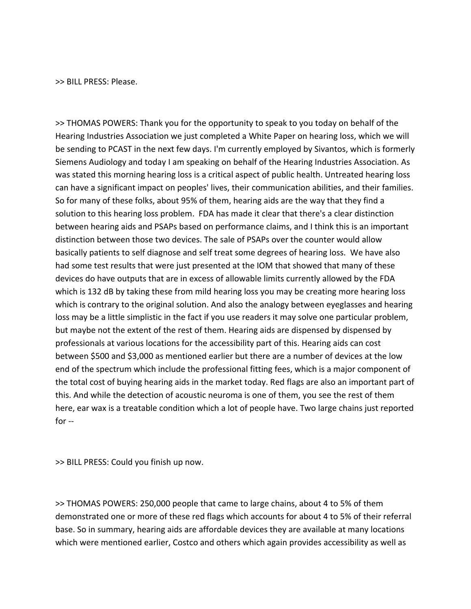>> BILL PRESS: Please.

>> THOMAS POWERS: Thank you for the opportunity to speak to you today on behalf of the Hearing Industries Association we just completed a White Paper on hearing loss, which we will be sending to PCAST in the next few days. I'm currently employed by Sivantos, which is formerly Siemens Audiology and today I am speaking on behalf of the Hearing Industries Association. As was stated this morning hearing loss is a critical aspect of public health. Untreated hearing loss can have a significant impact on peoples' lives, their communication abilities, and their families. So for many of these folks, about 95% of them, hearing aids are the way that they find a solution to this hearing loss problem. FDA has made it clear that there's a clear distinction between hearing aids and PSAPs based on performance claims, and I think this is an important distinction between those two devices. The sale of PSAPs over the counter would allow basically patients to self diagnose and self treat some degrees of hearing loss. We have also had some test results that were just presented at the IOM that showed that many of these devices do have outputs that are in excess of allowable limits currently allowed by the FDA which is 132 dB by taking these from mild hearing loss you may be creating more hearing loss which is contrary to the original solution. And also the analogy between eyeglasses and hearing loss may be a little simplistic in the fact if you use readers it may solve one particular problem, but maybe not the extent of the rest of them. Hearing aids are dispensed by dispensed by professionals at various locations for the accessibility part of this. Hearing aids can cost between \$500 and \$3,000 as mentioned earlier but there are a number of devices at the low end of the spectrum which include the professional fitting fees, which is a major component of the total cost of buying hearing aids in the market today. Red flags are also an important part of this. And while the detection of acoustic neuroma is one of them, you see the rest of them here, ear wax is a treatable condition which a lot of people have. Two large chains just reported  $for -$ 

>> BILL PRESS: Could you finish up now.

>> THOMAS POWERS: 250,000 people that came to large chains, about 4 to 5% of them demonstrated one or more of these red flags which accounts for about 4 to 5% of their referral base. So in summary, hearing aids are affordable devices they are available at many locations which were mentioned earlier, Costco and others which again provides accessibility as well as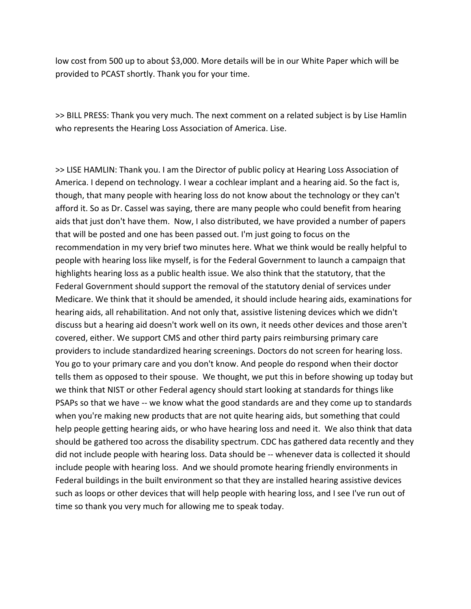low cost from 500 up to about \$3,000. More details will be in our White Paper which will be provided to PCAST shortly. Thank you for your time.

>> BILL PRESS: Thank you very much. The next comment on a related subject is by Lise Hamlin who represents the Hearing Loss Association of America. Lise.

>> LISE HAMLIN: Thank you. I am the Director of public policy at Hearing Loss Association of America. I depend on technology. I wear a cochlear implant and a hearing aid. So the fact is, though, that many people with hearing loss do not know about the technology or they can't afford it. So as Dr. Cassel was saying, there are many people who could benefit from hearing aids that just don't have them. Now, I also distributed, we have provided a number of papers that will be posted and one has been passed out. I'm just going to focus on the recommendation in my very brief two minutes here. What we think would be really helpful to people with hearing loss like myself, is for the Federal Government to launch a campaign that highlights hearing loss as a public health issue. We also think that the statutory, that the Federal Government should support the removal of the statutory denial of services under Medicare. We think that it should be amended, it should include hearing aids, examinations for hearing aids, all rehabilitation. And not only that, assistive listening devices which we didn't discuss but a hearing aid doesn't work well on its own, it needs other devices and those aren't covered, either. We support CMS and other third party pairs reimbursing primary care providers to include standardized hearing screenings. Doctors do not screen for hearing loss. You go to your primary care and you don't know. And people do respond when their doctor tells them as opposed to their spouse. We thought, we put this in before showing up today but we think that NIST or other Federal agency should start looking at standards for things like PSAPs so that we have ‐‐ we know what the good standards are and they come up to standards when you're making new products that are not quite hearing aids, but something that could help people getting hearing aids, or who have hearing loss and need it. We also think that data should be gathered too across the disability spectrum. CDC has gathered data recently and they did not include people with hearing loss. Data should be ‐‐ whenever data is collected it should include people with hearing loss. And we should promote hearing friendly environments in Federal buildings in the built environment so that they are installed hearing assistive devices such as loops or other devices that will help people with hearing loss, and I see I've run out of time so thank you very much for allowing me to speak today.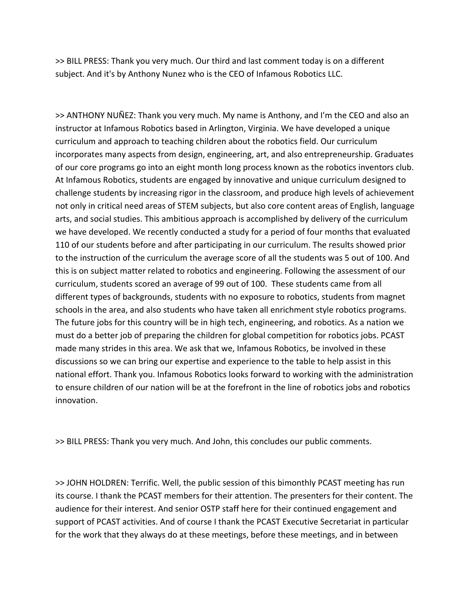>> BILL PRESS: Thank you very much. Our third and last comment today is on a different subject. And it's by Anthony Nunez who is the CEO of Infamous Robotics LLC.

>> ANTHONY NUÑEZ: Thank you very much. My name is Anthony, and I'm the CEO and also an instructor at Infamous Robotics based in Arlington, Virginia. We have developed a unique curriculum and approach to teaching children about the robotics field. Our curriculum incorporates many aspects from design, engineering, art, and also entrepreneurship. Graduates of our core programs go into an eight month long process known as the robotics inventors club. At Infamous Robotics, students are engaged by innovative and unique curriculum designed to challenge students by increasing rigor in the classroom, and produce high levels of achievement not only in critical need areas of STEM subjects, but also core content areas of English, language arts, and social studies. This ambitious approach is accomplished by delivery of the curriculum we have developed. We recently conducted a study for a period of four months that evaluated 110 of our students before and after participating in our curriculum. The results showed prior to the instruction of the curriculum the average score of all the students was 5 out of 100. And this is on subject matter related to robotics and engineering. Following the assessment of our curriculum, students scored an average of 99 out of 100. These students came from all different types of backgrounds, students with no exposure to robotics, students from magnet schools in the area, and also students who have taken all enrichment style robotics programs. The future jobs for this country will be in high tech, engineering, and robotics. As a nation we must do a better job of preparing the children for global competition for robotics jobs. PCAST made many strides in this area. We ask that we, Infamous Robotics, be involved in these discussions so we can bring our expertise and experience to the table to help assist in this national effort. Thank you. Infamous Robotics looks forward to working with the administration to ensure children of our nation will be at the forefront in the line of robotics jobs and robotics innovation.

>> BILL PRESS: Thank you very much. And John, this concludes our public comments.

>> JOHN HOLDREN: Terrific. Well, the public session of this bimonthly PCAST meeting has run its course. I thank the PCAST members for their attention. The presenters for their content. The audience for their interest. And senior OSTP staff here for their continued engagement and support of PCAST activities. And of course I thank the PCAST Executive Secretariat in particular for the work that they always do at these meetings, before these meetings, and in between